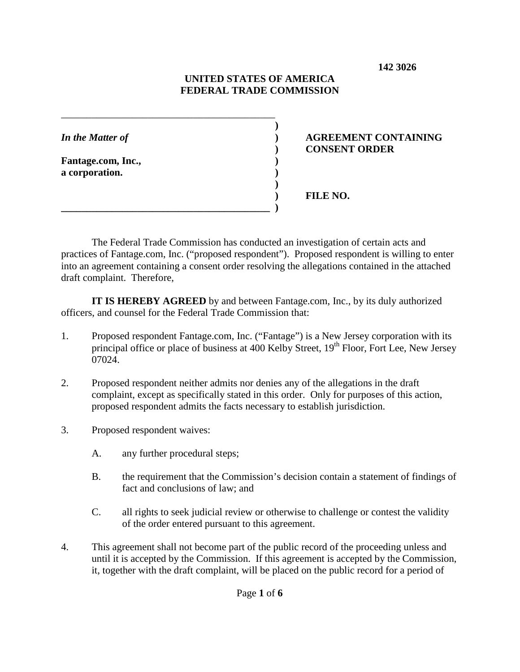**142 3026**

# **UNITED STATES OF AMERICA FEDERAL TRADE COMMISSION**

**)**

**)**

**Fantage.com, Inc., ) a corporation. )**

# *In the Matter of* **) AGREEMENT CONTAINING ) CONSENT ORDER**

**) FILE NO.**

The Federal Trade Commission has conducted an investigation of certain acts and practices of Fantage.com, Inc. ("proposed respondent"). Proposed respondent is willing to enter into an agreement containing a consent order resolving the allegations contained in the attached draft complaint. Therefore,

**IT IS HEREBY AGREED** by and between Fantage.com, Inc., by its duly authorized officers, and counsel for the Federal Trade Commission that:

- 1. Proposed respondent Fantage.com, Inc. ("Fantage") is a New Jersey corporation with its principal office or place of business at 400 Kelby Street, 19<sup>th</sup> Floor, Fort Lee, New Jersey 07024.
- 2. Proposed respondent neither admits nor denies any of the allegations in the draft complaint, except as specifically stated in this order. Only for purposes of this action, proposed respondent admits the facts necessary to establish jurisdiction.
- 3. Proposed respondent waives:
	- A. any further procedural steps;

\_\_\_\_\_\_\_\_\_\_\_\_\_\_\_\_\_\_\_\_\_\_\_\_\_\_\_\_\_\_\_\_\_\_\_\_\_\_\_\_\_\_

**\_\_\_\_\_\_\_\_\_\_\_\_\_\_\_\_\_\_\_\_\_\_\_\_\_\_\_\_\_\_\_\_\_\_\_\_\_\_\_\_\_ )** 

- B. the requirement that the Commission's decision contain a statement of findings of fact and conclusions of law; and
- C. all rights to seek judicial review or otherwise to challenge or contest the validity of the order entered pursuant to this agreement.
- 4. This agreement shall not become part of the public record of the proceeding unless and until it is accepted by the Commission. If this agreement is accepted by the Commission, it, together with the draft complaint, will be placed on the public record for a period of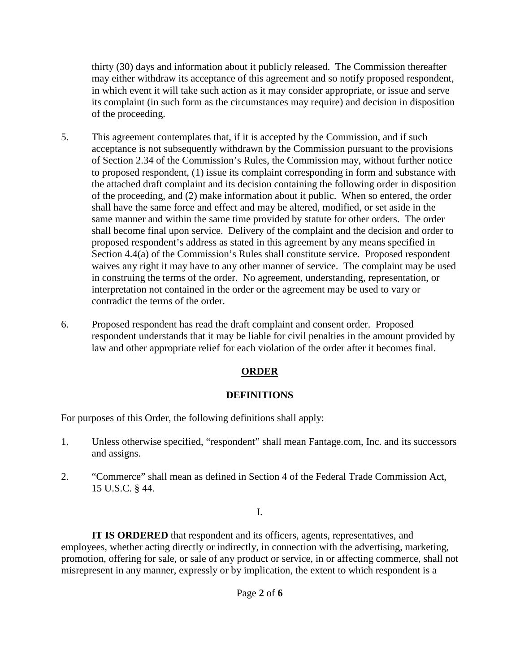thirty (30) days and information about it publicly released. The Commission thereafter may either withdraw its acceptance of this agreement and so notify proposed respondent, in which event it will take such action as it may consider appropriate, or issue and serve its complaint (in such form as the circumstances may require) and decision in disposition of the proceeding.

- 5. This agreement contemplates that, if it is accepted by the Commission, and if such acceptance is not subsequently withdrawn by the Commission pursuant to the provisions of Section 2.34 of the Commission's Rules, the Commission may, without further notice to proposed respondent, (1) issue its complaint corresponding in form and substance with the attached draft complaint and its decision containing the following order in disposition of the proceeding, and (2) make information about it public. When so entered, the order shall have the same force and effect and may be altered, modified, or set aside in the same manner and within the same time provided by statute for other orders. The order shall become final upon service. Delivery of the complaint and the decision and order to proposed respondent's address as stated in this agreement by any means specified in Section 4.4(a) of the Commission's Rules shall constitute service. Proposed respondent waives any right it may have to any other manner of service. The complaint may be used in construing the terms of the order. No agreement, understanding, representation, or interpretation not contained in the order or the agreement may be used to vary or contradict the terms of the order.
- 6. Proposed respondent has read the draft complaint and consent order. Proposed respondent understands that it may be liable for civil penalties in the amount provided by law and other appropriate relief for each violation of the order after it becomes final.

# **ORDER**

# **DEFINITIONS**

For purposes of this Order, the following definitions shall apply:

- 1. Unless otherwise specified, "respondent" shall mean Fantage.com, Inc. and its successors and assigns.
- 2. "Commerce" shall mean as defined in Section 4 of the Federal Trade Commission Act, 15 U.S.C. § 44.

### I.

**IT IS ORDERED** that respondent and its officers, agents, representatives, and employees, whether acting directly or indirectly, in connection with the advertising, marketing, promotion, offering for sale, or sale of any product or service, in or affecting commerce, shall not misrepresent in any manner, expressly or by implication, the extent to which respondent is a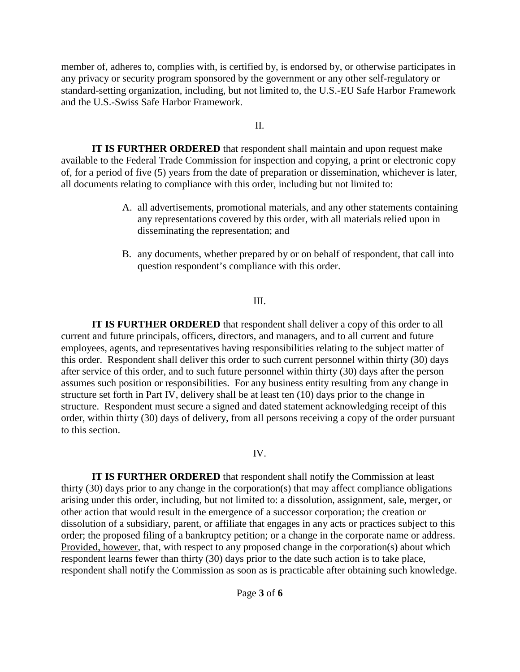member of, adheres to, complies with, is certified by, is endorsed by, or otherwise participates in any privacy or security program sponsored by the government or any other self-regulatory or standard-setting organization, including, but not limited to, the U.S.-EU Safe Harbor Framework and the U.S.-Swiss Safe Harbor Framework.

#### II.

**IT IS FURTHER ORDERED** that respondent shall maintain and upon request make available to the Federal Trade Commission for inspection and copying, a print or electronic copy of, for a period of five (5) years from the date of preparation or dissemination, whichever is later, all documents relating to compliance with this order, including but not limited to:

- A. all advertisements, promotional materials, and any other statements containing any representations covered by this order, with all materials relied upon in disseminating the representation; and
- B. any documents, whether prepared by or on behalf of respondent, that call into question respondent's compliance with this order.

#### III.

**IT IS FURTHER ORDERED** that respondent shall deliver a copy of this order to all current and future principals, officers, directors, and managers, and to all current and future employees, agents, and representatives having responsibilities relating to the subject matter of this order. Respondent shall deliver this order to such current personnel within thirty (30) days after service of this order, and to such future personnel within thirty (30) days after the person assumes such position or responsibilities. For any business entity resulting from any change in structure set forth in Part IV, delivery shall be at least ten (10) days prior to the change in structure. Respondent must secure a signed and dated statement acknowledging receipt of this order, within thirty (30) days of delivery, from all persons receiving a copy of the order pursuant to this section.

#### IV.

**IT IS FURTHER ORDERED** that respondent shall notify the Commission at least thirty (30) days prior to any change in the corporation(s) that may affect compliance obligations arising under this order, including, but not limited to: a dissolution, assignment, sale, merger, or other action that would result in the emergence of a successor corporation; the creation or dissolution of a subsidiary, parent, or affiliate that engages in any acts or practices subject to this order; the proposed filing of a bankruptcy petition; or a change in the corporate name or address. Provided, however, that, with respect to any proposed change in the corporation(s) about which respondent learns fewer than thirty (30) days prior to the date such action is to take place, respondent shall notify the Commission as soon as is practicable after obtaining such knowledge.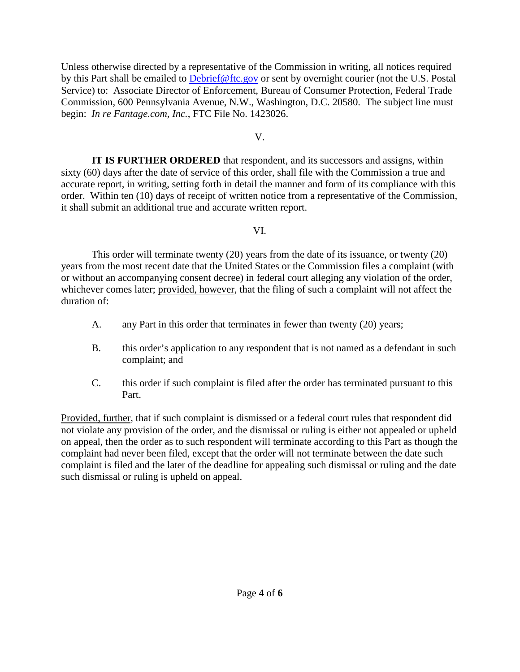Unless otherwise directed by a representative of the Commission in writing, all notices required by this Part shall be emailed to [Debrief@ftc.gov](mailto:Debrief@ftc.gov) or sent by overnight courier (not the U.S. Postal Service) to: Associate Director of Enforcement, Bureau of Consumer Protection, Federal Trade Commission, 600 Pennsylvania Avenue, N.W., Washington, D.C. 20580. The subject line must begin: *In re Fantage.com, Inc.*, FTC File No. 1423026.

V.

**IT IS FURTHER ORDERED** that respondent, and its successors and assigns, within sixty (60) days after the date of service of this order, shall file with the Commission a true and accurate report, in writing, setting forth in detail the manner and form of its compliance with this order. Within ten (10) days of receipt of written notice from a representative of the Commission, it shall submit an additional true and accurate written report.

### VI.

This order will terminate twenty (20) years from the date of its issuance, or twenty (20) years from the most recent date that the United States or the Commission files a complaint (with or without an accompanying consent decree) in federal court alleging any violation of the order, whichever comes later; provided, however, that the filing of such a complaint will not affect the duration of:

- A. any Part in this order that terminates in fewer than twenty (20) years;
- B. this order's application to any respondent that is not named as a defendant in such complaint; and
- C. this order if such complaint is filed after the order has terminated pursuant to this Part.

Provided, further, that if such complaint is dismissed or a federal court rules that respondent did not violate any provision of the order, and the dismissal or ruling is either not appealed or upheld on appeal, then the order as to such respondent will terminate according to this Part as though the complaint had never been filed, except that the order will not terminate between the date such complaint is filed and the later of the deadline for appealing such dismissal or ruling and the date such dismissal or ruling is upheld on appeal.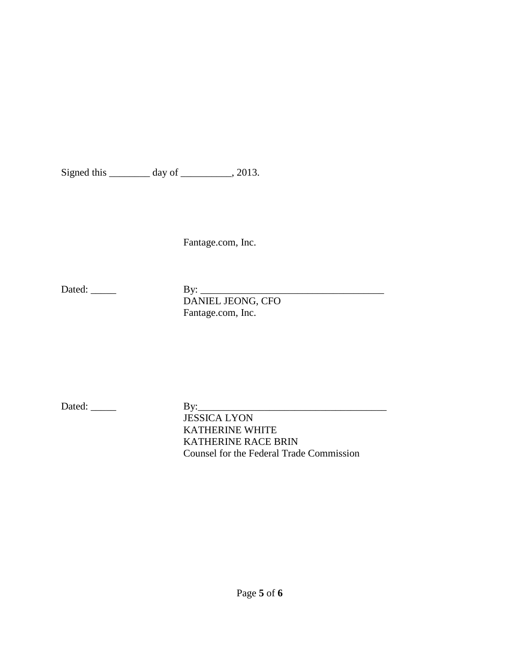Signed this \_\_\_\_\_\_\_\_ day of \_\_\_\_\_\_\_\_, 2013.

Fantage.com, Inc.

Dated: \_\_\_\_\_ By: \_\_\_\_\_\_\_\_\_\_\_\_\_\_\_\_\_\_\_\_\_\_\_\_\_\_\_\_\_\_\_\_\_\_\_\_ DANIEL JEONG, CFO Fantage.com, Inc.

Dated: \_\_\_\_\_ By:\_\_\_\_\_\_\_\_\_\_\_\_\_\_\_\_\_\_\_\_\_\_\_\_\_\_\_\_\_\_\_\_\_\_\_\_\_

JESSICA LYON KATHERINE WHITE KATHERINE RACE BRIN Counsel for the Federal Trade Commission